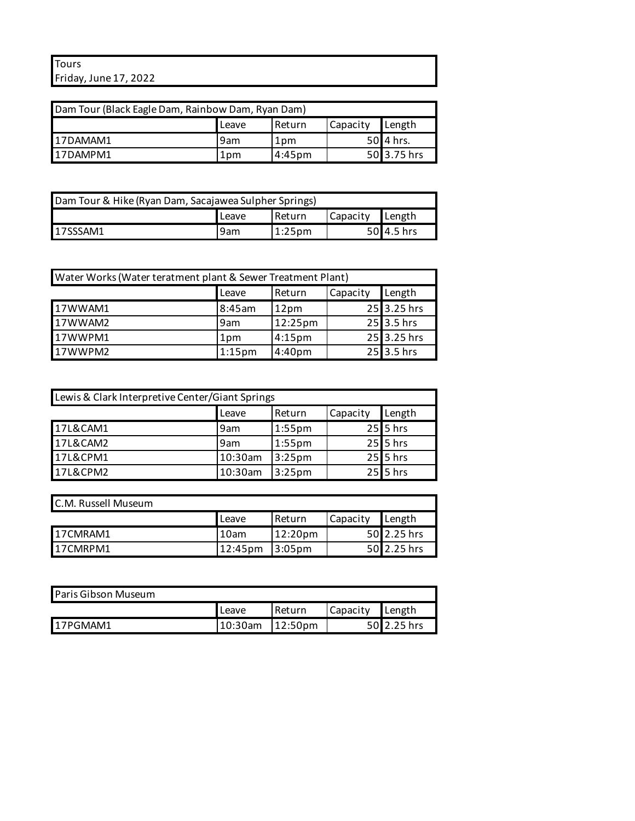## **Tours** Friday, June 17, 2022

| Dam Tour (Black Eagle Dam, Rainbow Dam, Ryan Dam) |     |                 |  |             |  |
|---------------------------------------------------|-----|-----------------|--|-------------|--|
| Capacity<br>Length<br>Return<br>Leave             |     |                 |  |             |  |
| 17DAMAM1                                          | 9am | 1 <sub>pm</sub> |  | 50 4 hrs.   |  |
| 17DAMPM1                                          | 1pm | 4:45pm          |  | 50 3.75 hrs |  |

| Dam Tour & Hike (Ryan Dam, Sacajawea Sulpher Springs) |       |           |          |              |  |
|-------------------------------------------------------|-------|-----------|----------|--------------|--|
|                                                       | Leave | l Return  | Capacity | ∎Length      |  |
| 17SSSAM1                                              | 9am   | $1:25$ pm |          | $50$ 4.5 hrs |  |

| Water Works (Water teratment plant & Sewer Treatment Plant) |                 |                    |  |              |  |  |
|-------------------------------------------------------------|-----------------|--------------------|--|--------------|--|--|
| Length<br>Capacity<br>. Return<br>Leave                     |                 |                    |  |              |  |  |
| 17WWAM1                                                     | 8:45am          | 12pm               |  | 25 3.25 hrs  |  |  |
| 17WWAM2                                                     | 9am             | 12:25pm            |  | $25$ 3.5 hrs |  |  |
| 17WWPM1                                                     | 1 <sub>pm</sub> | 4:15 <sub>pm</sub> |  | 25 3.25 hrs  |  |  |
| 17WWPM2                                                     | $1:15$ pm       | 4:40pm             |  | $25$ 3.5 hrs |  |  |

| Lewis & Clark Interpretive Center/Giant Springs |         |                    |  |            |  |  |
|-------------------------------------------------|---------|--------------------|--|------------|--|--|
| Capacity<br>Length<br>Return<br>Leave           |         |                    |  |            |  |  |
| 17L&CAM1                                        | 9am     | $1:55$ pm          |  | $25$ 5 hrs |  |  |
| 17L&CAM2                                        | 9am     | $1:55$ pm          |  | $25$ 5 hrs |  |  |
| 17L&CPM1                                        | 10:30am | 3:25 <sub>pm</sub> |  | $25$ 5 hrs |  |  |
| 17L&CPM2                                        | 10:30am | 3:25 <sub>pm</sub> |  | $25$ 5 hrs |  |  |

| C.M. Russell Museum |         |                   |          |             |
|---------------------|---------|-------------------|----------|-------------|
|                     | Leave   | l Return          | Capacity | ∎Length     |
| 17CMRAM1            | 10am    | 12:20pm           |          | 50 2.25 hrs |
| 17CMRPM1            | 12:45pm | $13:05 \text{pm}$ |          | 50 2.25 hrs |

| <b>Paris Gibson Museum</b> |              |          |          |             |
|----------------------------|--------------|----------|----------|-------------|
|                            | <b>Leave</b> | l Return | Capacity | ∎Length     |
| <b>17PGMAM1</b>            | 10:30am      | 12:50pm  |          | 50 2.25 hrs |